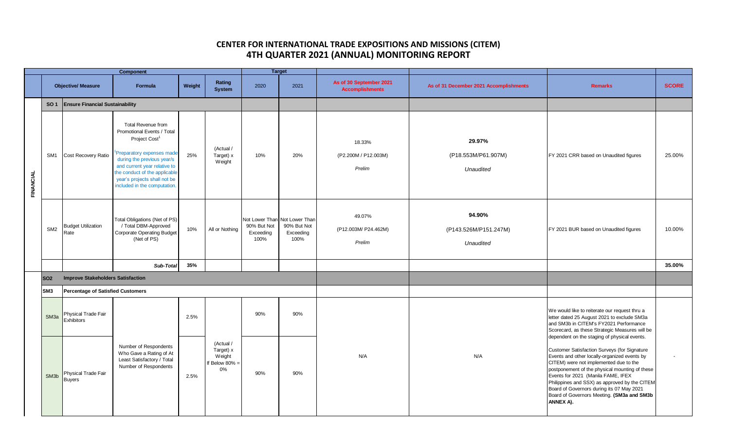| <b>Target</b><br><b>Component</b> |                   |                                          |                                                                                                                                                                                                                                                                           |        |                                                       |                                  |                                                                   |                                                   |                                              |                                                                                                                                                                                                                                                                                                                                                                                                                                         |                |     |     |  |  |                                                                                                                                                                                          |  |
|-----------------------------------|-------------------|------------------------------------------|---------------------------------------------------------------------------------------------------------------------------------------------------------------------------------------------------------------------------------------------------------------------------|--------|-------------------------------------------------------|----------------------------------|-------------------------------------------------------------------|---------------------------------------------------|----------------------------------------------|-----------------------------------------------------------------------------------------------------------------------------------------------------------------------------------------------------------------------------------------------------------------------------------------------------------------------------------------------------------------------------------------------------------------------------------------|----------------|-----|-----|--|--|------------------------------------------------------------------------------------------------------------------------------------------------------------------------------------------|--|
|                                   |                   | <b>Objective/ Measure</b>                | Formula                                                                                                                                                                                                                                                                   | Weight | Rating<br><b>System</b>                               | 2020                             | 2021                                                              | As of 30 September 2021<br><b>Accomplishments</b> | As of 31 December 2021 Accomplishments       | <b>Remarks</b>                                                                                                                                                                                                                                                                                                                                                                                                                          | <b>SCORE</b>   |     |     |  |  |                                                                                                                                                                                          |  |
|                                   | <b>SO1</b>        | <b>Ensure Financial Sustainability</b>   |                                                                                                                                                                                                                                                                           |        |                                                       |                                  |                                                                   |                                                   |                                              |                                                                                                                                                                                                                                                                                                                                                                                                                                         |                |     |     |  |  |                                                                                                                                                                                          |  |
| FINANCIAL                         | SM <sub>1</sub>   | Cost Recovery Ratio                      | Total Revenue from<br>Promotional Events / Total<br>Project Cost <sup>1</sup><br>Preparatory expenses made<br>during the previous year/s<br>and current year relative to<br>the conduct of the applicable<br>year's projects shall not be<br>included in the computation. | 25%    | (Actual /<br>Target) x<br>Weight                      | 10%                              | 20%                                                               | 18.33%<br>(P2.200M / P12.003M)<br>Prelim          | 29.97%<br>(P18.553M/P61.907M)<br>Unaudited   | FY 2021 CRR based on Unaudited figures                                                                                                                                                                                                                                                                                                                                                                                                  | 25.00%         |     |     |  |  |                                                                                                                                                                                          |  |
|                                   | SM <sub>2</sub>   | <b>Budget Utilization</b><br>Rate        | Total Obligations (Net of PS)<br>/ Total DBM-Approved<br><b>Corporate Operating Budget</b><br>(Net of PS)                                                                                                                                                                 | 10%    | All or Nothing                                        | 90% But Not<br>Exceeding<br>100% | Not Lower Than Not Lower Than<br>90% But Not<br>Exceeding<br>100% | 49.07%<br>(P12.003M/ P24.462M)<br>Prelim          | 94.90%<br>(P143.526M/P151.247M)<br>Unaudited | FY 2021 BUR based on Unaudited figures                                                                                                                                                                                                                                                                                                                                                                                                  | 10.00%         |     |     |  |  |                                                                                                                                                                                          |  |
|                                   |                   |                                          | Sub-Total                                                                                                                                                                                                                                                                 | 35%    |                                                       |                                  |                                                                   |                                                   |                                              |                                                                                                                                                                                                                                                                                                                                                                                                                                         | 35.00%         |     |     |  |  |                                                                                                                                                                                          |  |
|                                   | <b>SO2</b>        | <b>Improve Stakeholders Satisfaction</b> |                                                                                                                                                                                                                                                                           |        |                                                       |                                  |                                                                   |                                                   |                                              |                                                                                                                                                                                                                                                                                                                                                                                                                                         |                |     |     |  |  |                                                                                                                                                                                          |  |
|                                   | SM <sub>3</sub>   | <b>Percentage of Satisfied Customers</b> |                                                                                                                                                                                                                                                                           |        |                                                       |                                  |                                                                   |                                                   |                                              |                                                                                                                                                                                                                                                                                                                                                                                                                                         |                |     |     |  |  |                                                                                                                                                                                          |  |
|                                   | SM <sub>3a</sub>  | Physical Trade Fair<br>Exhibitors        |                                                                                                                                                                                                                                                                           | 2.5%   |                                                       |                                  |                                                                   |                                                   |                                              |                                                                                                                                                                                                                                                                                                                                                                                                                                         |                | 90% | 90% |  |  | We would like to reiterate our request thru a<br>letter dated 25 August 2021 to exclude SM3a<br>and SM3b in CITEM's FY2021 Performance<br>Scorecard, as these Strategic Measures will be |  |
|                                   | SM <sub>3</sub> b | Physical Trade Fair<br><b>Buyers</b>     | Number of Respondents<br>Who Gave a Rating of At<br>Least Satisfactory / Total<br>Number of Respondents                                                                                                                                                                   | 2.5%   | (Actual /<br>Target) x<br>Weight<br>f Below 80%<br>0% | 90%                              | 90%                                                               | N/A                                               | N/A                                          | dependent on the staging of physical events.<br>Customer Satisfaction Surveys (for Signature<br>Events and other locally-organized events by<br>CITEM) were not implemented due to the<br>postponement of the physical mounting of these<br>Events for 2021 (Manila FAME, IFEX<br>Philippines and SSX) as approved by the CITEM<br>Board of Governors during its 07 May 2021<br>Board of Governors Meeting. (SM3a and SM3b<br>ANNEX A). | $\blacksquare$ |     |     |  |  |                                                                                                                                                                                          |  |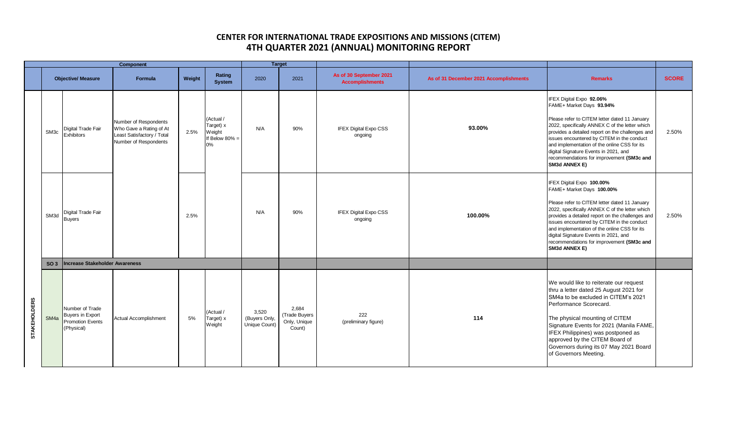| Component           |                           |                                                                                     |                                                                                                         |        |                                                             | <b>Target</b>                           |                                                  |                                                   |                                        |                                                                                                                                                                                                                                                                                                                                                                                                                    |              |
|---------------------|---------------------------|-------------------------------------------------------------------------------------|---------------------------------------------------------------------------------------------------------|--------|-------------------------------------------------------------|-----------------------------------------|--------------------------------------------------|---------------------------------------------------|----------------------------------------|--------------------------------------------------------------------------------------------------------------------------------------------------------------------------------------------------------------------------------------------------------------------------------------------------------------------------------------------------------------------------------------------------------------------|--------------|
|                     | <b>Objective/ Measure</b> |                                                                                     | Formula                                                                                                 | Weight | Rating<br><b>System</b>                                     | 2020                                    | 2021                                             | As of 30 September 2021<br><b>Accomplishments</b> | As of 31 December 2021 Accomplishments | <b>Remarks</b>                                                                                                                                                                                                                                                                                                                                                                                                     | <b>SCORE</b> |
|                     | SM <sub>3c</sub>          | Digital Trade Fair<br><b>Exhibitors</b>                                             | Number of Respondents<br>Who Gave a Rating of At<br>Least Satisfactory / Total<br>Number of Respondents | 2.5%   | (Actual /<br>Target) x<br>Weight<br>If Below $80\%$ =<br>0% | N/A                                     | 90%                                              | <b>IFEX Digital Expo CSS</b><br>ongoing           | 93.00%                                 | IFEX Digital Expo 92.06%<br>FAME+ Market Days 93.94%<br>Please refer to CITEM letter dated 11 January<br>2022, specifically ANNEX C of the letter which<br>provides a detailed report on the challenges and<br>issues encountered by CITEM in the conduct<br>and implementation of the online CSS for its<br>digital Signature Events in 2021, and<br>recommendations for improvement (SM3c and<br>SM3d ANNEX E)   | 2.50%        |
|                     | SM <sub>3d</sub>          | Digital Trade Fair<br><b>Buyers</b>                                                 |                                                                                                         | 2.5%   |                                                             | N/A                                     | 90%                                              | <b>IFEX Digital Expo CSS</b><br>ongoing           | 100.00%                                | IFEX Digital Expo 100.00%<br>FAME+ Market Days 100.00%<br>Please refer to CITEM letter dated 11 January<br>2022, specifically ANNEX C of the letter which<br>provides a detailed report on the challenges and<br>issues encountered by CITEM in the conduct<br>and implementation of the online CSS for its<br>digital Signature Events in 2021, and<br>recommendations for improvement (SM3c and<br>SM3d ANNEX E) | 2.50%        |
|                     | SO <sub>3</sub>           | Increase Stakeholder Awareness                                                      |                                                                                                         |        |                                                             |                                         |                                                  |                                                   |                                        |                                                                                                                                                                                                                                                                                                                                                                                                                    |              |
| <b>STAKEHOLDERS</b> | SM <sub>4a</sub>          | Number of Trade<br><b>Buyers in Export</b><br><b>Promotion Events</b><br>(Physical) | <b>Actual Accomplishment</b>                                                                            | 5%     | (Actual /<br>Target) x<br>Weight                            | 3,520<br>(Buyers Only,<br>Unique Count) | 2,684<br>(Trade Buyers<br>Only, Unique<br>Count) | 222<br>(preliminary figure)                       | 114                                    | We would like to reiterate our request<br>thru a letter dated 25 August 2021 for<br>SM4a to be excluded in CITEM's 2021<br>Performance Scorecard.<br>The physical mounting of CITEM<br>Signature Events for 2021 (Manila FAME,<br>IFEX Philippines) was postponed as<br>approved by the CITEM Board of<br>Governors during its 07 May 2021 Board<br>of Governors Meeting.                                          |              |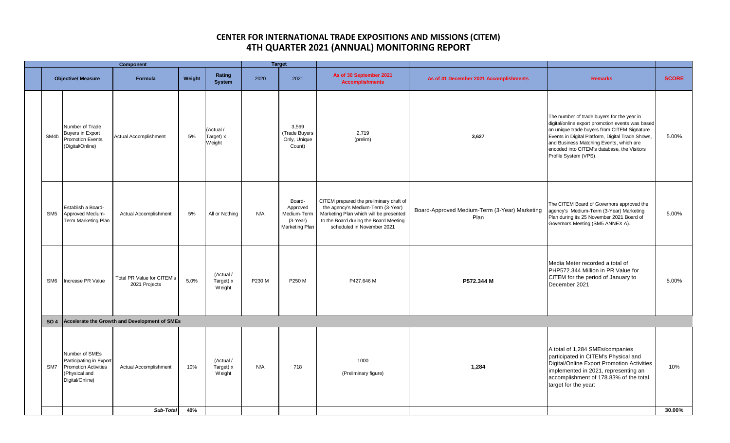| SM4b            | <b>Objective/ Measure</b>                                                                                    | <b>Formula</b>                                | Weight     |                                  |        |                                                                   |                                                                                                                                                                                               |                                                       |                                                                                                                                                                                                                                                                                                                      |              |
|-----------------|--------------------------------------------------------------------------------------------------------------|-----------------------------------------------|------------|----------------------------------|--------|-------------------------------------------------------------------|-----------------------------------------------------------------------------------------------------------------------------------------------------------------------------------------------|-------------------------------------------------------|----------------------------------------------------------------------------------------------------------------------------------------------------------------------------------------------------------------------------------------------------------------------------------------------------------------------|--------------|
|                 |                                                                                                              |                                               |            | Rating<br><b>System</b>          | 2020   | 2021                                                              | As of 30 September 2021<br><b>Accomplishments</b>                                                                                                                                             | As of 31 December 2021 Accomplishments                | <b>Remarks</b>                                                                                                                                                                                                                                                                                                       | <b>SCORE</b> |
|                 | Number of Trade<br><b>Buyers in Export</b><br>Promotion Events<br>(Digital/Online)                           | Actual Accomplishment                         | 5%         | (Actual /<br>Target) x<br>Weight |        | 3,569<br>(Trade Buyers<br>Only, Unique<br>Count)                  | 2,719<br>(prelim)                                                                                                                                                                             | 3,627                                                 | The number of trade buyers for the year in<br>digital/online export promotion events was based<br>on unique trade buyers from CITEM Signature<br>Events in Digital Platform, Digital Trade Shows,<br>and Business Matching Events, which are<br>encoded into CITEM's database, the Visitors<br>Profile System (VPS). | 5.00%        |
| SM <sub>5</sub> | Establish a Board-<br>Approved Medium-<br>Term Marketing Plan                                                | <b>Actual Accomplishment</b>                  | 5%         | All or Nothing                   | N/A    | Board-<br>Approved<br>Medium-Term<br>$(3-Year)$<br>Marketing Plan | CITEM prepared the preliminary draft of<br>the agency's Medium-Term (3-Year)<br>Marketing Plan which will be presented<br>to the Board during the Board Meeting<br>scheduled in November 2021 | Board-Approved Medium-Term (3-Year) Marketing<br>Plan | The CITEM Board of Governors approved the<br>agency's Medium-Term (3-Year) Marketing<br>Plan during its 25 November 2021 Board of<br>Governors Meeting (SM5 ANNEX A).                                                                                                                                                | 5.00%        |
| SM <sub>6</sub> | Increase PR Value                                                                                            | Total PR Value for CITEM's<br>2021 Projects   | 5.0%       | (Actual /<br>Target) x<br>Weight | P230 M | P250 M                                                            | P427.646 M                                                                                                                                                                                    | P572.344 M                                            | Media Meter recorded a total of<br>PHP572.344 Million in PR Value for<br>CITEM for the period of January to<br>December 2021                                                                                                                                                                                         | 5.00%        |
| <b>SO 4</b>     |                                                                                                              | Accelerate the Growth and Development of SMEs |            |                                  |        |                                                                   |                                                                                                                                                                                               |                                                       |                                                                                                                                                                                                                                                                                                                      |              |
| SM7             | Number of SMEs<br>Participating in Export<br><b>Promotion Activities</b><br>(Physical and<br>Digital/Online) | <b>Actual Accomplishment</b>                  | 10%<br>40% | (Actual /<br>Target) x<br>Weight | N/A    | 718                                                               | 1000<br>(Preliminary figure)                                                                                                                                                                  | 1,284                                                 | A total of 1,284 SMEs/companies<br>participated in CITEM's Physical and<br>Digital/Online Export Promotion Activities<br>implemented in 2021, representing an<br>accomplishment of 178.83% of the total<br>target for the year:                                                                                      | 10%          |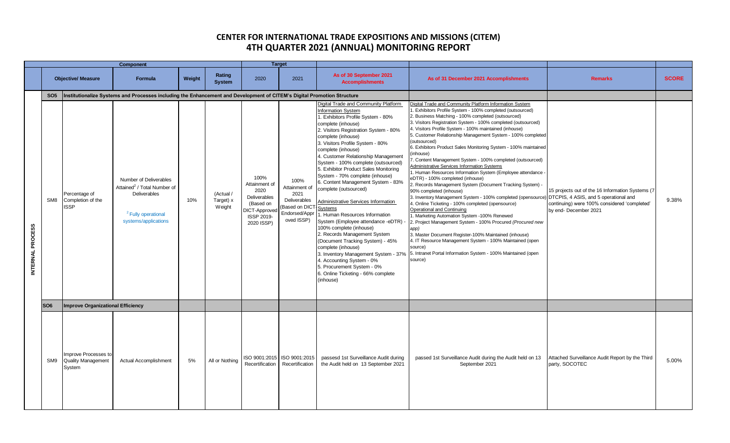| Component        |                 |                                                             |                                                                                                                                                    |        |                                  | <b>Target</b>                                                                                                  |                                                                                               |                                                                                                                                                                                                                                                                                                                                                                                                                                                                                                                                                                                                                                                                                                                                                                                                                                                                                      |                                                                                                                                                                                                                                                                                                                                                                                                                                                                                                                                                                                                                                                                                                                                                                                                                                                                                                                                                                                                                                                                                                                                                                                                                                                                          |                                                                                                                                                                    |              |
|------------------|-----------------|-------------------------------------------------------------|----------------------------------------------------------------------------------------------------------------------------------------------------|--------|----------------------------------|----------------------------------------------------------------------------------------------------------------|-----------------------------------------------------------------------------------------------|--------------------------------------------------------------------------------------------------------------------------------------------------------------------------------------------------------------------------------------------------------------------------------------------------------------------------------------------------------------------------------------------------------------------------------------------------------------------------------------------------------------------------------------------------------------------------------------------------------------------------------------------------------------------------------------------------------------------------------------------------------------------------------------------------------------------------------------------------------------------------------------|--------------------------------------------------------------------------------------------------------------------------------------------------------------------------------------------------------------------------------------------------------------------------------------------------------------------------------------------------------------------------------------------------------------------------------------------------------------------------------------------------------------------------------------------------------------------------------------------------------------------------------------------------------------------------------------------------------------------------------------------------------------------------------------------------------------------------------------------------------------------------------------------------------------------------------------------------------------------------------------------------------------------------------------------------------------------------------------------------------------------------------------------------------------------------------------------------------------------------------------------------------------------------|--------------------------------------------------------------------------------------------------------------------------------------------------------------------|--------------|
|                  |                 | <b>Objective/ Measure</b>                                   | <b>Formula</b>                                                                                                                                     | Weight | Rating<br><b>System</b>          | 2020                                                                                                           | 2021                                                                                          | As of 30 September 2021<br><b>Accomplishments</b>                                                                                                                                                                                                                                                                                                                                                                                                                                                                                                                                                                                                                                                                                                                                                                                                                                    | As of 31 December 2021 Accomplishments                                                                                                                                                                                                                                                                                                                                                                                                                                                                                                                                                                                                                                                                                                                                                                                                                                                                                                                                                                                                                                                                                                                                                                                                                                   | <b>Remarks</b>                                                                                                                                                     | <b>SCORE</b> |
|                  | SO <sub>5</sub> |                                                             | Institutionalize Systems and Processes including the Enhancement and Development of CITEM's Digital Promotion Structure                            |        |                                  |                                                                                                                |                                                                                               |                                                                                                                                                                                                                                                                                                                                                                                                                                                                                                                                                                                                                                                                                                                                                                                                                                                                                      |                                                                                                                                                                                                                                                                                                                                                                                                                                                                                                                                                                                                                                                                                                                                                                                                                                                                                                                                                                                                                                                                                                                                                                                                                                                                          |                                                                                                                                                                    |              |
| INTERNAL PROCESS | SM <sub>8</sub> | Percentage of<br>Completion of the<br><b>ISSP</b>           | Number of Deliverables<br>Attained <sup>2</sup> / Total Number of<br><b>Deliverables</b><br><sup>2</sup> Fully operational<br>systems/applications | 10%    | (Actual /<br>Target) x<br>Weight | 100%<br>Attainment of<br>2020<br>Deliverables<br>(Based on<br><b>JICT-Approved</b><br>ISSP 2019-<br>2020 ISSP) | 100%<br>Attainment of<br>2021<br>Deliverables<br>Based on DICT<br>Endorsed/Appr<br>oved ISSP) | Digital Trade and Community Platform<br><b>Information System</b><br>1. Exhibitors Profile System - 80%<br>complete (inhouse)<br>2. Visitors Registration System - 80%<br>complete (inhouse)<br>3. Visitors Profile System - 80%<br>complete (inhouse)<br>4. Customer Relationship Management<br>System - 100% complete (outsourced)<br>5. Exhibitor Product Sales Monitoring<br>System - 70% complete (inhouse)<br>6. Content Management System - 83%<br>complete (outsourced)<br>Administrative Services Information<br>Systems<br>1. Human Resources Information<br>System (Employee attendance -eDTR)<br>100% complete (inhouse)<br>2. Records Management System<br>(Document Tracking System) - 45%<br>complete (inhouse)<br>3. Inventory Management System - 37%<br>4. Accounting System - 0%<br>5. Procurement System - 0%<br>6. Online Ticketing - 66% complete<br>(inhouse) | Digital Trade and Community Platform Information System<br>1. Exhibitors Profile System - 100% completed (outsourced)<br>2. Business Matching - 100% completed (outsourced)<br>3. Visitors Registration System - 100% completed (outsourced)<br>4. Visitors Profile System - 100% maintained (inhouse)<br>5. Customer Relationship Management System - 100% completed<br>(outsourced)<br>6. Exhibitors Product Sales Monitoring System - 100% maintained<br>inhouse)<br>7. Content Management System - 100% completed (outsourced)<br><b>Administrative Services Information Systems</b><br>1. Human Resources Information System (Employee attendance -<br>eDTR) - 100% completed (inhouse)<br>2. Records Management System (Document Tracking System) -<br>90% completed (inhouse)<br>3. Inventory Management System - 100% completed (opensource<br>4. Online Ticketing - 100% completed (opensource)<br>Operational and Continuing<br>1. Marketing Automation System -100% Renewed<br>2. Project Management System - 100% Procured (Procured new<br>app)<br>3. Master Document Register-100% Maintained (inhouse)<br>4. IT Resource Management System - 100% Maintained (open<br>source)<br>5. Intranet Portal Information System - 100% Maintained (open<br>source) | 15 projects out of the 16 Information Systems (7<br>DTCPIS, 4 ASIS, and 5 operational and<br>continuing) were 100% considered 'completed'<br>by end- December 2021 | 9.38%        |
|                  | SO <sub>6</sub> | <b>Improve Organizational Efficiency</b>                    |                                                                                                                                                    |        |                                  |                                                                                                                |                                                                                               |                                                                                                                                                                                                                                                                                                                                                                                                                                                                                                                                                                                                                                                                                                                                                                                                                                                                                      |                                                                                                                                                                                                                                                                                                                                                                                                                                                                                                                                                                                                                                                                                                                                                                                                                                                                                                                                                                                                                                                                                                                                                                                                                                                                          |                                                                                                                                                                    |              |
|                  | SM9             | Improve Processes to<br><b>Quality Management</b><br>System | <b>Actual Accomplishment</b>                                                                                                                       | 5%     | All or Nothing                   | Recertification                                                                                                | ISO 9001:2015 ISO 9001:2015<br>Recertification                                                | passesd 1st Surveillance Audit during<br>the Audit held on 13 September 2021                                                                                                                                                                                                                                                                                                                                                                                                                                                                                                                                                                                                                                                                                                                                                                                                         | passed 1st Surveillance Audit during the Audit held on 13<br>September 2021                                                                                                                                                                                                                                                                                                                                                                                                                                                                                                                                                                                                                                                                                                                                                                                                                                                                                                                                                                                                                                                                                                                                                                                              | Attached Surveillance Audit Report by the Third<br>party, SOCOTEC                                                                                                  | 5.00%        |